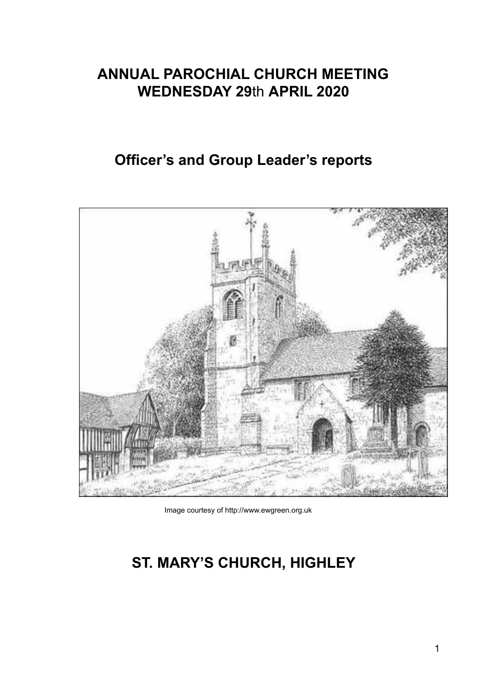# **ANNUAL PAROCHIAL CHURCH MEETING WEDNESDAY 29**th **APRIL 2020**

# **Officer's and Group Leader's reports**



Image courtesy of http://www.ewgreen.org.uk

# **ST. MARY'S CHURCH, HIGHLEY**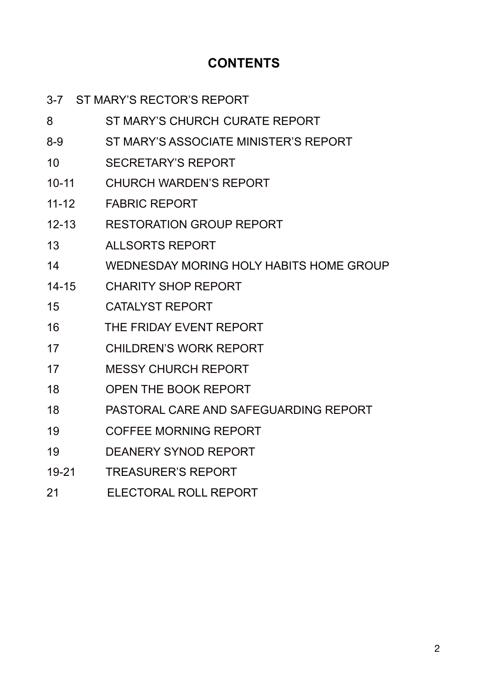# **CONTENTS**

| $3 - 7$   | ST MARY'S RECTOR'S REPORT               |
|-----------|-----------------------------------------|
| 8         | ST MARY'S CHURCH CURATE REPORT          |
| $8 - 9$   | ST MARY'S ASSOCIATE MINISTER'S REPORT   |
| 10        | <b>SECRETARY'S REPORT</b>               |
| $10 - 11$ | <b>CHURCH WARDEN'S REPORT</b>           |
| $11 - 12$ | <b>FABRIC REPORT</b>                    |
| $12 - 13$ | <b>RESTORATION GROUP REPORT</b>         |
| 13        | <b>ALLSORTS REPORT</b>                  |
| 14        | WEDNESDAY MORING HOLY HABITS HOME GROUP |
| $14 - 15$ | <b>CHARITY SHOP REPORT</b>              |
| 15        | <b>CATALYST REPORT</b>                  |
| 16        | THE FRIDAY EVENT REPORT                 |
| 17        | <b>CHILDREN'S WORK REPORT</b>           |
| 17        | <b>MESSY CHURCH REPORT</b>              |
| 18        | <b>OPEN THE BOOK REPORT</b>             |
| 18        | PASTORAL CARE AND SAFEGUARDING REPORT   |
| 19        | <b>COFFEE MORNING REPORT</b>            |
| 19        | <b>DEANERY SYNOD REPORT</b>             |
| 19-21     | <b>TREASURER'S REPORT</b>               |
| 21        | ELECTORAL ROLL REPORT                   |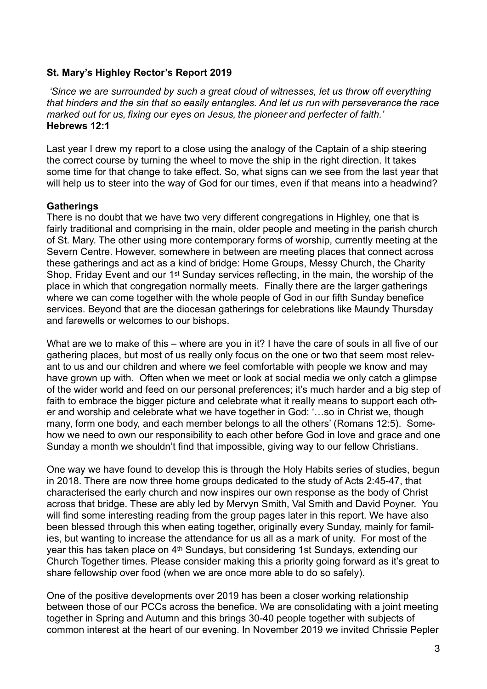#### **St. Mary's Highley Rector's Report 2019**

*'Since we are surrounded by such a great cloud of witnesses, let us throw off everything that hinders and the sin that so easily entangles. And let us run with perseverance the race marked out for us, fixing our eyes on Jesus, the pioneer and perfecter of faith.'*  **Hebrews 12:1** 

Last year I drew my report to a close using the analogy of the Captain of a ship steering the correct course by turning the wheel to move the ship in the right direction. It takes some time for that change to take effect. So, what signs can we see from the last year that will help us to steer into the way of God for our times, even if that means into a headwind?

#### **Gatherings**

There is no doubt that we have two very different congregations in Highley, one that is fairly traditional and comprising in the main, older people and meeting in the parish church of St. Mary. The other using more contemporary forms of worship, currently meeting at the Severn Centre. However, somewhere in between are meeting places that connect across these gatherings and act as a kind of bridge: Home Groups, Messy Church, the Charity Shop, Friday Event and our 1st Sunday services reflecting, in the main, the worship of the place in which that congregation normally meets. Finally there are the larger gatherings where we can come together with the whole people of God in our fifth Sunday benefice services. Beyond that are the diocesan gatherings for celebrations like Maundy Thursday and farewells or welcomes to our bishops.

What are we to make of this – where are you in it? I have the care of souls in all five of our gathering places, but most of us really only focus on the one or two that seem most relevant to us and our children and where we feel comfortable with people we know and may have grown up with. Often when we meet or look at social media we only catch a glimpse of the wider world and feed on our personal preferences; it's much harder and a big step of faith to embrace the bigger picture and celebrate what it really means to support each other and worship and celebrate what we have together in God: '…so in Christ we, though many, form one body, and each member belongs to all the others' (Romans 12:5). Somehow we need to own our responsibility to each other before God in love and grace and one Sunday a month we shouldn't find that impossible, giving way to our fellow Christians.

One way we have found to develop this is through the Holy Habits series of studies, begun in 2018. There are now three home groups dedicated to the study of Acts 2:45-47, that characterised the early church and now inspires our own response as the body of Christ across that bridge. These are ably led by Mervyn Smith, Val Smith and David Poyner. You will find some interesting reading from the group pages later in this report. We have also been blessed through this when eating together, originally every Sunday, mainly for families, but wanting to increase the attendance for us all as a mark of unity. For most of the year this has taken place on 4th Sundays, but considering 1st Sundays, extending our Church Together times. Please consider making this a priority going forward as it's great to share fellowship over food (when we are once more able to do so safely).

One of the positive developments over 2019 has been a closer working relationship between those of our PCCs across the benefice. We are consolidating with a joint meeting together in Spring and Autumn and this brings 30-40 people together with subjects of common interest at the heart of our evening. In November 2019 we invited Chrissie Pepler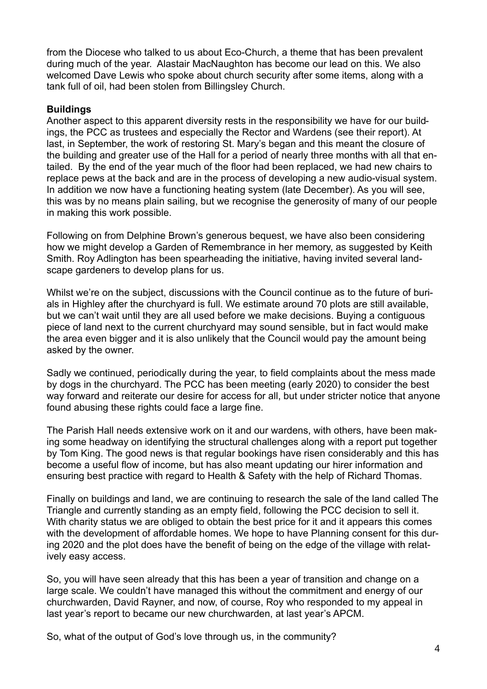from the Diocese who talked to us about Eco-Church, a theme that has been prevalent during much of the year. Alastair MacNaughton has become our lead on this. We also welcomed Dave Lewis who spoke about church security after some items, along with a tank full of oil, had been stolen from Billingsley Church.

#### **Buildings**

Another aspect to this apparent diversity rests in the responsibility we have for our buildings, the PCC as trustees and especially the Rector and Wardens (see their report). At last, in September, the work of restoring St. Mary's began and this meant the closure of the building and greater use of the Hall for a period of nearly three months with all that entailed. By the end of the year much of the floor had been replaced, we had new chairs to replace pews at the back and are in the process of developing a new audio-visual system. In addition we now have a functioning heating system (late December). As you will see, this was by no means plain sailing, but we recognise the generosity of many of our people in making this work possible.

Following on from Delphine Brown's generous bequest, we have also been considering how we might develop a Garden of Remembrance in her memory, as suggested by Keith Smith. Roy Adlington has been spearheading the initiative, having invited several landscape gardeners to develop plans for us.

Whilst we're on the subject, discussions with the Council continue as to the future of burials in Highley after the churchyard is full. We estimate around 70 plots are still available, but we can't wait until they are all used before we make decisions. Buying a contiguous piece of land next to the current churchyard may sound sensible, but in fact would make the area even bigger and it is also unlikely that the Council would pay the amount being asked by the owner.

Sadly we continued, periodically during the year, to field complaints about the mess made by dogs in the churchyard. The PCC has been meeting (early 2020) to consider the best way forward and reiterate our desire for access for all, but under stricter notice that anyone found abusing these rights could face a large fine.

The Parish Hall needs extensive work on it and our wardens, with others, have been making some headway on identifying the structural challenges along with a report put together by Tom King. The good news is that regular bookings have risen considerably and this has become a useful flow of income, but has also meant updating our hirer information and ensuring best practice with regard to Health & Safety with the help of Richard Thomas.

Finally on buildings and land, we are continuing to research the sale of the land called The Triangle and currently standing as an empty field, following the PCC decision to sell it. With charity status we are obliged to obtain the best price for it and it appears this comes with the development of affordable homes. We hope to have Planning consent for this during 2020 and the plot does have the benefit of being on the edge of the village with relatively easy access.

So, you will have seen already that this has been a year of transition and change on a large scale. We couldn't have managed this without the commitment and energy of our churchwarden, David Rayner, and now, of course, Roy who responded to my appeal in last year's report to became our new churchwarden, at last year's APCM.

So, what of the output of God's love through us, in the community?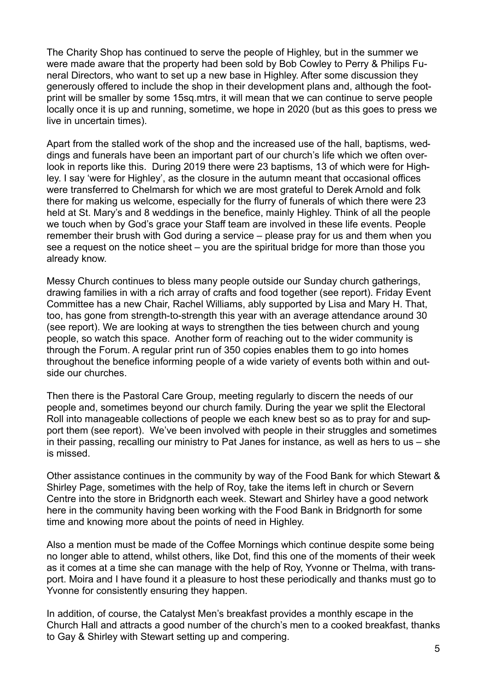The Charity Shop has continued to serve the people of Highley, but in the summer we were made aware that the property had been sold by Bob Cowley to Perry & Philips Funeral Directors, who want to set up a new base in Highley. After some discussion they generously offered to include the shop in their development plans and, although the footprint will be smaller by some 15sq.mtrs, it will mean that we can continue to serve people locally once it is up and running, sometime, we hope in 2020 (but as this goes to press we live in uncertain times).

Apart from the stalled work of the shop and the increased use of the hall, baptisms, weddings and funerals have been an important part of our church's life which we often overlook in reports like this. During 2019 there were 23 baptisms, 13 of which were for Highley. I say 'were for Highley', as the closure in the autumn meant that occasional offices were transferred to Chelmarsh for which we are most grateful to Derek Arnold and folk there for making us welcome, especially for the flurry of funerals of which there were 23 held at St. Mary's and 8 weddings in the benefice, mainly Highley. Think of all the people we touch when by God's grace your Staff team are involved in these life events. People remember their brush with God during a service – please pray for us and them when you see a request on the notice sheet – you are the spiritual bridge for more than those you already know.

Messy Church continues to bless many people outside our Sunday church gatherings, drawing families in with a rich array of crafts and food together (see report). Friday Event Committee has a new Chair, Rachel Williams, ably supported by Lisa and Mary H. That, too, has gone from strength-to-strength this year with an average attendance around 30 (see report). We are looking at ways to strengthen the ties between church and young people, so watch this space. Another form of reaching out to the wider community is through the Forum. A regular print run of 350 copies enables them to go into homes throughout the benefice informing people of a wide variety of events both within and outside our churches.

Then there is the Pastoral Care Group, meeting regularly to discern the needs of our people and, sometimes beyond our church family. During the year we split the Electoral Roll into manageable collections of people we each knew best so as to pray for and support them (see report). We've been involved with people in their struggles and sometimes in their passing, recalling our ministry to Pat Janes for instance, as well as hers to us – she is missed.

Other assistance continues in the community by way of the Food Bank for which Stewart & Shirley Page, sometimes with the help of Roy, take the items left in church or Severn Centre into the store in Bridgnorth each week. Stewart and Shirley have a good network here in the community having been working with the Food Bank in Bridgnorth for some time and knowing more about the points of need in Highley.

Also a mention must be made of the Coffee Mornings which continue despite some being no longer able to attend, whilst others, like Dot, find this one of the moments of their week as it comes at a time she can manage with the help of Roy, Yvonne or Thelma, with transport. Moira and I have found it a pleasure to host these periodically and thanks must go to Yvonne for consistently ensuring they happen.

In addition, of course, the Catalyst Men's breakfast provides a monthly escape in the Church Hall and attracts a good number of the church's men to a cooked breakfast, thanks to Gay & Shirley with Stewart setting up and compering.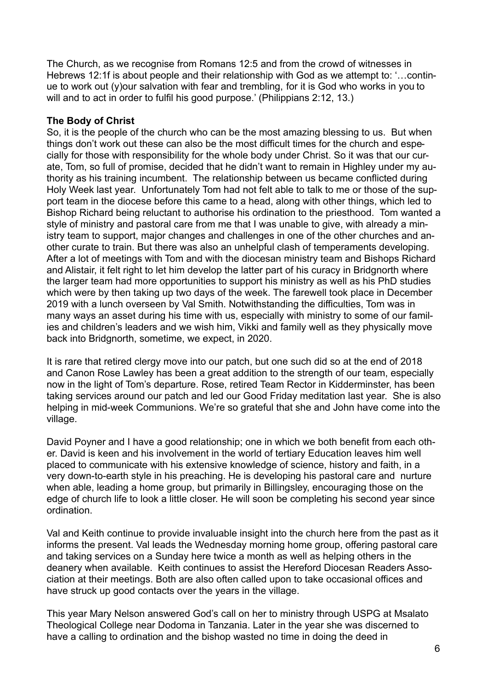The Church, as we recognise from Romans 12:5 and from the crowd of witnesses in Hebrews 12:1f is about people and their relationship with God as we attempt to: '…continue to work out (y)our salvation with fear and trembling, for it is God who works in you to will and to act in order to fulfil his good purpose.' (Philippians 2:12, 13.)

#### **The Body of Christ**

So, it is the people of the church who can be the most amazing blessing to us. But when things don't work out these can also be the most difficult times for the church and especially for those with responsibility for the whole body under Christ. So it was that our curate, Tom, so full of promise, decided that he didn't want to remain in Highley under my authority as his training incumbent. The relationship between us became conflicted during Holy Week last year. Unfortunately Tom had not felt able to talk to me or those of the support team in the diocese before this came to a head, along with other things, which led to Bishop Richard being reluctant to authorise his ordination to the priesthood. Tom wanted a style of ministry and pastoral care from me that I was unable to give, with already a ministry team to support, major changes and challenges in one of the other churches and another curate to train. But there was also an unhelpful clash of temperaments developing. After a lot of meetings with Tom and with the diocesan ministry team and Bishops Richard and Alistair, it felt right to let him develop the latter part of his curacy in Bridgnorth where the larger team had more opportunities to support his ministry as well as his PhD studies which were by then taking up two days of the week. The farewell took place in December 2019 with a lunch overseen by Val Smith. Notwithstanding the difficulties, Tom was in many ways an asset during his time with us, especially with ministry to some of our families and children's leaders and we wish him, Vikki and family well as they physically move back into Bridgnorth, sometime, we expect, in 2020.

It is rare that retired clergy move into our patch, but one such did so at the end of 2018 and Canon Rose Lawley has been a great addition to the strength of our team, especially now in the light of Tom's departure. Rose, retired Team Rector in Kidderminster, has been taking services around our patch and led our Good Friday meditation last year. She is also helping in mid-week Communions. We're so grateful that she and John have come into the village.

David Poyner and I have a good relationship; one in which we both benefit from each other. David is keen and his involvement in the world of tertiary Education leaves him well placed to communicate with his extensive knowledge of science, history and faith, in a very down-to-earth style in his preaching. He is developing his pastoral care and nurture when able, leading a home group, but primarily in Billingsley, encouraging those on the edge of church life to look a little closer. He will soon be completing his second year since ordination.

Val and Keith continue to provide invaluable insight into the church here from the past as it informs the present. Val leads the Wednesday morning home group, offering pastoral care and taking services on a Sunday here twice a month as well as helping others in the deanery when available. Keith continues to assist the Hereford Diocesan Readers Association at their meetings. Both are also often called upon to take occasional offices and have struck up good contacts over the years in the village.

This year Mary Nelson answered God's call on her to ministry through USPG at Msalato Theological College near Dodoma in Tanzania. Later in the year she was discerned to have a calling to ordination and the bishop wasted no time in doing the deed in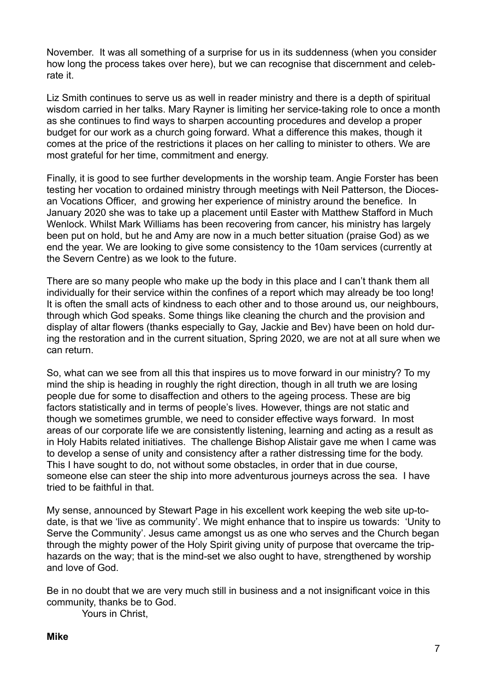November. It was all something of a surprise for us in its suddenness (when you consider how long the process takes over here), but we can recognise that discernment and celebrate it.

Liz Smith continues to serve us as well in reader ministry and there is a depth of spiritual wisdom carried in her talks. Mary Rayner is limiting her service-taking role to once a month as she continues to find ways to sharpen accounting procedures and develop a proper budget for our work as a church going forward. What a difference this makes, though it comes at the price of the restrictions it places on her calling to minister to others. We are most grateful for her time, commitment and energy.

Finally, it is good to see further developments in the worship team. Angie Forster has been testing her vocation to ordained ministry through meetings with Neil Patterson, the Diocesan Vocations Officer, and growing her experience of ministry around the benefice. In January 2020 she was to take up a placement until Easter with Matthew Stafford in Much Wenlock. Whilst Mark Williams has been recovering from cancer, his ministry has largely been put on hold, but he and Amy are now in a much better situation (praise God) as we end the year. We are looking to give some consistency to the 10am services (currently at the Severn Centre) as we look to the future.

There are so many people who make up the body in this place and I can't thank them all individually for their service within the confines of a report which may already be too long! It is often the small acts of kindness to each other and to those around us, our neighbours, through which God speaks. Some things like cleaning the church and the provision and display of altar flowers (thanks especially to Gay, Jackie and Bev) have been on hold during the restoration and in the current situation, Spring 2020, we are not at all sure when we can return.

So, what can we see from all this that inspires us to move forward in our ministry? To my mind the ship is heading in roughly the right direction, though in all truth we are losing people due for some to disaffection and others to the ageing process. These are big factors statistically and in terms of people's lives. However, things are not static and though we sometimes grumble, we need to consider effective ways forward. In most areas of our corporate life we are consistently listening, learning and acting as a result as in Holy Habits related initiatives. The challenge Bishop Alistair gave me when I came was to develop a sense of unity and consistency after a rather distressing time for the body. This I have sought to do, not without some obstacles, in order that in due course, someone else can steer the ship into more adventurous journeys across the sea. I have tried to be faithful in that.

My sense, announced by Stewart Page in his excellent work keeping the web site up-todate, is that we 'live as community'. We might enhance that to inspire us towards: 'Unity to Serve the Community'. Jesus came amongst us as one who serves and the Church began through the mighty power of the Holy Spirit giving unity of purpose that overcame the triphazards on the way; that is the mind-set we also ought to have, strengthened by worship and love of God.

Be in no doubt that we are very much still in business and a not insignificant voice in this community, thanks be to God.

Yours in Christ,

#### **Mike**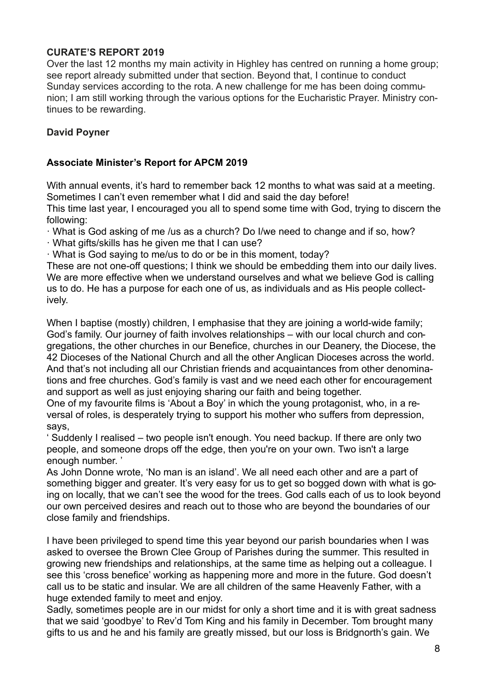# **CURATE'S REPORT 2019**

Over the last 12 months my main activity in Highley has centred on running a home group; see report already submitted under that section. Beyond that, I continue to conduct Sunday services according to the rota. A new challenge for me has been doing communion; I am still working through the various options for the Eucharistic Prayer. Ministry continues to be rewarding.

# **David Poyner**

# **Associate Minister's Report for APCM 2019**

With annual events, it's hard to remember back 12 months to what was said at a meeting. Sometimes I can't even remember what I did and said the day before!

This time last year, I encouraged you all to spend some time with God, trying to discern the following:

· What is God asking of me /us as a church? Do I/we need to change and if so, how?

· What gifts/skills has he given me that I can use?

· What is God saying to me/us to do or be in this moment, today?

These are not one-off questions; I think we should be embedding them into our daily lives. We are more effective when we understand ourselves and what we believe God is calling us to do. He has a purpose for each one of us, as individuals and as His people collectively.

When I baptise (mostly) children, I emphasise that they are joining a world-wide family; God's family. Our journey of faith involves relationships – with our local church and congregations, the other churches in our Benefice, churches in our Deanery, the Diocese, the 42 Dioceses of the National Church and all the other Anglican Dioceses across the world. And that's not including all our Christian friends and acquaintances from other denominations and free churches. God's family is vast and we need each other for encouragement and support as well as just enjoying sharing our faith and being together.

One of my favourite films is 'About a Boy' in which the young protagonist, who, in a reversal of roles, is desperately trying to support his mother who suffers from depression, says,

' Suddenly I realised – two people isn't enough. You need backup. If there are only two people, and someone drops off the edge, then you're on your own. Two isn't a large enough number. '

As John Donne wrote, 'No man is an island'. We all need each other and are a part of something bigger and greater. It's very easy for us to get so bogged down with what is going on locally, that we can't see the wood for the trees. God calls each of us to look beyond our own perceived desires and reach out to those who are beyond the boundaries of our close family and friendships.

I have been privileged to spend time this year beyond our parish boundaries when I was asked to oversee the Brown Clee Group of Parishes during the summer. This resulted in growing new friendships and relationships, at the same time as helping out a colleague. I see this 'cross benefice' working as happening more and more in the future. God doesn't call us to be static and insular. We are all children of the same Heavenly Father, with a huge extended family to meet and enjoy.

Sadly, sometimes people are in our midst for only a short time and it is with great sadness that we said 'goodbye' to Rev'd Tom King and his family in December. Tom brought many gifts to us and he and his family are greatly missed, but our loss is Bridgnorth's gain. We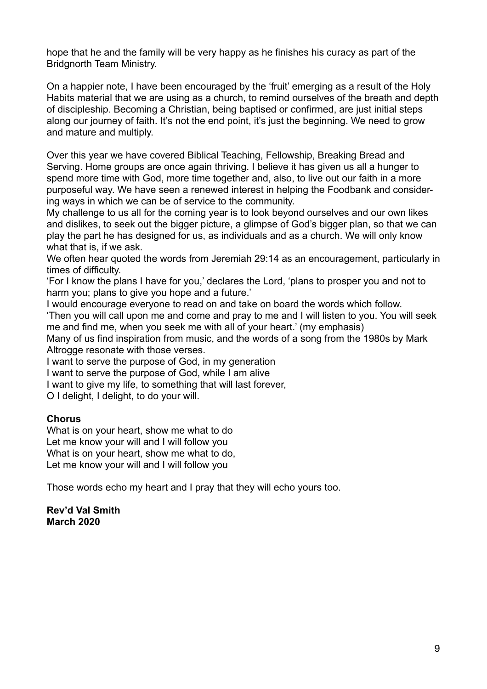hope that he and the family will be very happy as he finishes his curacy as part of the Bridgnorth Team Ministry.

On a happier note, I have been encouraged by the 'fruit' emerging as a result of the Holy Habits material that we are using as a church, to remind ourselves of the breath and depth of discipleship. Becoming a Christian, being baptised or confirmed, are just initial steps along our journey of faith. It's not the end point, it's just the beginning. We need to grow and mature and multiply.

Over this year we have covered Biblical Teaching, Fellowship, Breaking Bread and Serving. Home groups are once again thriving. I believe it has given us all a hunger to spend more time with God, more time together and, also, to live out our faith in a more purposeful way. We have seen a renewed interest in helping the Foodbank and considering ways in which we can be of service to the community.

My challenge to us all for the coming year is to look beyond ourselves and our own likes and dislikes, to seek out the bigger picture, a glimpse of God's bigger plan, so that we can play the part he has designed for us, as individuals and as a church. We will only know what that is, if we ask.

We often hear quoted the words from Jeremiah 29:14 as an encouragement, particularly in times of difficulty.

'For I know the plans I have for you,' declares the Lord, 'plans to prosper you and not to harm you; plans to give you hope and a future.'

I would encourage everyone to read on and take on board the words which follow.

'Then you will call upon me and come and pray to me and I will listen to you. You will seek me and find me, when you seek me with all of your heart.' (my emphasis)

Many of us find inspiration from music, and the words of a song from the 1980s by Mark Altrogge resonate with those verses.

I want to serve the purpose of God, in my generation

I want to serve the purpose of God, while I am alive

I want to give my life, to something that will last forever,

O I delight, I delight, to do your will.

#### **Chorus**

What is on your heart, show me what to do Let me know your will and I will follow you What is on your heart, show me what to do, Let me know your will and I will follow you

Those words echo my heart and I pray that they will echo yours too.

**Rev'd Val Smith March 2020**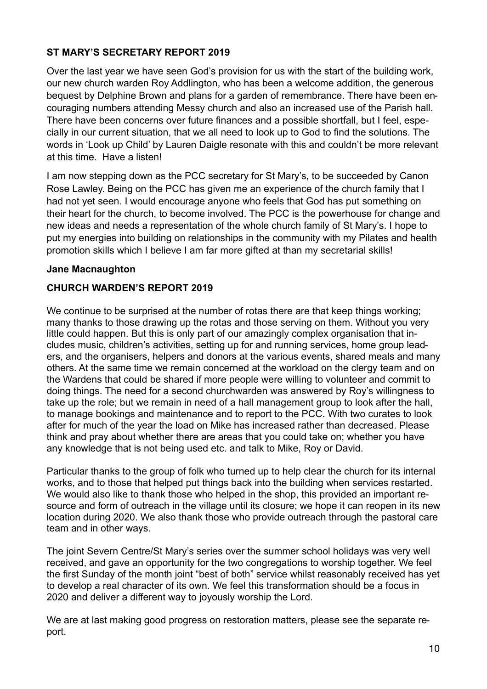# **ST MARY'S SECRETARY REPORT 2019**

Over the last year we have seen God's provision for us with the start of the building work, our new church warden Roy Addlington, who has been a welcome addition, the generous bequest by Delphine Brown and plans for a garden of remembrance. There have been encouraging numbers attending Messy church and also an increased use of the Parish hall. There have been concerns over future finances and a possible shortfall, but I feel, especially in our current situation, that we all need to look up to God to find the solutions. The words in 'Look up Child' by Lauren Daigle resonate with this and couldn't be more relevant at this time. Have a listen!

I am now stepping down as the PCC secretary for St Mary's, to be succeeded by Canon Rose Lawley. Being on the PCC has given me an experience of the church family that I had not yet seen. I would encourage anyone who feels that God has put something on their heart for the church, to become involved. The PCC is the powerhouse for change and new ideas and needs a representation of the whole church family of St Mary's. I hope to put my energies into building on relationships in the community with my Pilates and health promotion skills which I believe I am far more gifted at than my secretarial skills!

## **Jane Macnaughton**

# **CHURCH WARDEN'S REPORT 2019**

We continue to be surprised at the number of rotas there are that keep things working; many thanks to those drawing up the rotas and those serving on them. Without you very little could happen. But this is only part of our amazingly complex organisation that includes music, children's activities, setting up for and running services, home group leaders, and the organisers, helpers and donors at the various events, shared meals and many others. At the same time we remain concerned at the workload on the clergy team and on the Wardens that could be shared if more people were willing to volunteer and commit to doing things. The need for a second churchwarden was answered by Roy's willingness to take up the role; but we remain in need of a hall management group to look after the hall, to manage bookings and maintenance and to report to the PCC. With two curates to look after for much of the year the load on Mike has increased rather than decreased. Please think and pray about whether there are areas that you could take on; whether you have any knowledge that is not being used etc. and talk to Mike, Roy or David.

Particular thanks to the group of folk who turned up to help clear the church for its internal works, and to those that helped put things back into the building when services restarted. We would also like to thank those who helped in the shop, this provided an important resource and form of outreach in the village until its closure; we hope it can reopen in its new location during 2020. We also thank those who provide outreach through the pastoral care team and in other ways.

The joint Severn Centre/St Mary's series over the summer school holidays was very well received, and gave an opportunity for the two congregations to worship together. We feel the first Sunday of the month joint "best of both" service whilst reasonably received has yet to develop a real character of its own. We feel this transformation should be a focus in 2020 and deliver a different way to joyously worship the Lord.

We are at last making good progress on restoration matters, please see the separate report.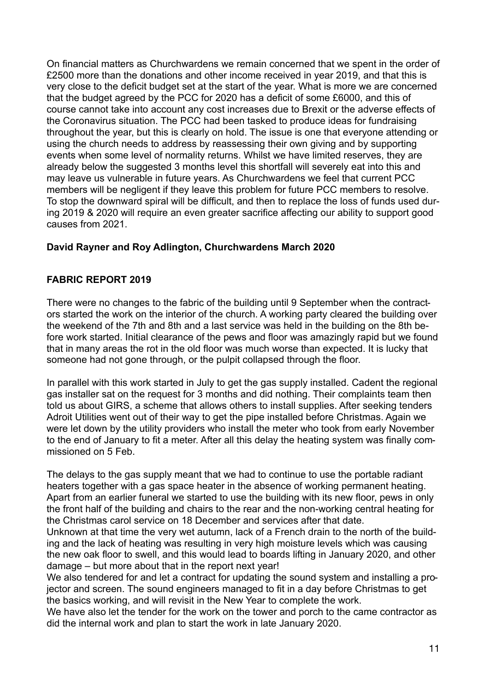On financial matters as Churchwardens we remain concerned that we spent in the order of £2500 more than the donations and other income received in year 2019, and that this is very close to the deficit budget set at the start of the year. What is more we are concerned that the budget agreed by the PCC for 2020 has a deficit of some £6000, and this of course cannot take into account any cost increases due to Brexit or the adverse effects of the Coronavirus situation. The PCC had been tasked to produce ideas for fundraising throughout the year, but this is clearly on hold. The issue is one that everyone attending or using the church needs to address by reassessing their own giving and by supporting events when some level of normality returns. Whilst we have limited reserves, they are already below the suggested 3 months level this shortfall will severely eat into this and may leave us vulnerable in future years. As Churchwardens we feel that current PCC members will be negligent if they leave this problem for future PCC members to resolve. To stop the downward spiral will be difficult, and then to replace the loss of funds used during 2019 & 2020 will require an even greater sacrifice affecting our ability to support good causes from 2021.

# **David Rayner and Roy Adlington, Churchwardens March 2020**

## **FABRIC REPORT 2019**

There were no changes to the fabric of the building until 9 September when the contractors started the work on the interior of the church. A working party cleared the building over the weekend of the 7th and 8th and a last service was held in the building on the 8th before work started. Initial clearance of the pews and floor was amazingly rapid but we found that in many areas the rot in the old floor was much worse than expected. It is lucky that someone had not gone through, or the pulpit collapsed through the floor.

In parallel with this work started in July to get the gas supply installed. Cadent the regional gas installer sat on the request for 3 months and did nothing. Their complaints team then told us about GIRS, a scheme that allows others to install supplies. After seeking tenders Adroit Utilities went out of their way to get the pipe installed before Christmas. Again we were let down by the utility providers who install the meter who took from early November to the end of January to fit a meter. After all this delay the heating system was finally commissioned on 5 Feb.

The delays to the gas supply meant that we had to continue to use the portable radiant heaters together with a gas space heater in the absence of working permanent heating. Apart from an earlier funeral we started to use the building with its new floor, pews in only the front half of the building and chairs to the rear and the non-working central heating for the Christmas carol service on 18 December and services after that date.

Unknown at that time the very wet autumn, lack of a French drain to the north of the building and the lack of heating was resulting in very high moisture levels which was causing the new oak floor to swell, and this would lead to boards lifting in January 2020, and other damage – but more about that in the report next year!

We also tendered for and let a contract for updating the sound system and installing a projector and screen. The sound engineers managed to fit in a day before Christmas to get the basics working, and will revisit in the New Year to complete the work.

We have also let the tender for the work on the tower and porch to the came contractor as did the internal work and plan to start the work in late January 2020.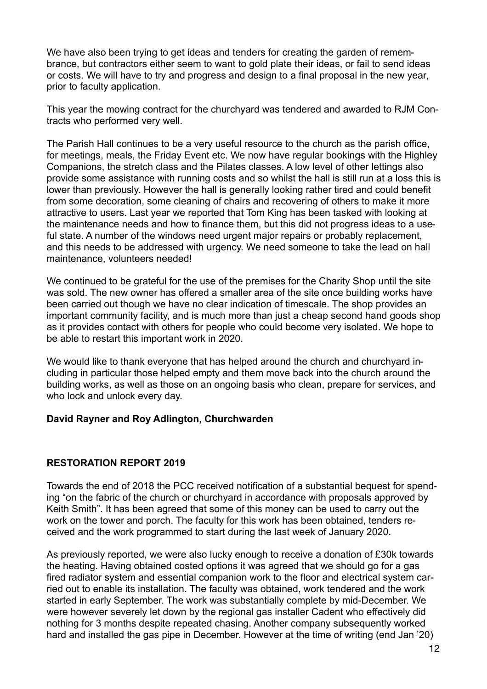We have also been trying to get ideas and tenders for creating the garden of remembrance, but contractors either seem to want to gold plate their ideas, or fail to send ideas or costs. We will have to try and progress and design to a final proposal in the new year, prior to faculty application.

This year the mowing contract for the churchyard was tendered and awarded to RJM Contracts who performed very well.

The Parish Hall continues to be a very useful resource to the church as the parish office, for meetings, meals, the Friday Event etc. We now have regular bookings with the Highley Companions, the stretch class and the Pilates classes. A low level of other lettings also provide some assistance with running costs and so whilst the hall is still run at a loss this is lower than previously. However the hall is generally looking rather tired and could benefit from some decoration, some cleaning of chairs and recovering of others to make it more attractive to users. Last year we reported that Tom King has been tasked with looking at the maintenance needs and how to finance them, but this did not progress ideas to a useful state. A number of the windows need urgent major repairs or probably replacement, and this needs to be addressed with urgency. We need someone to take the lead on hall maintenance, volunteers needed!

We continued to be grateful for the use of the premises for the Charity Shop until the site was sold. The new owner has offered a smaller area of the site once building works have been carried out though we have no clear indication of timescale. The shop provides an important community facility, and is much more than just a cheap second hand goods shop as it provides contact with others for people who could become very isolated. We hope to be able to restart this important work in 2020.

We would like to thank everyone that has helped around the church and churchyard including in particular those helped empty and them move back into the church around the building works, as well as those on an ongoing basis who clean, prepare for services, and who lock and unlock every day.

#### **David Rayner and Roy Adlington, Churchwarden**

## **RESTORATION REPORT 2019**

Towards the end of 2018 the PCC received notification of a substantial bequest for spending "on the fabric of the church or churchyard in accordance with proposals approved by Keith Smith". It has been agreed that some of this money can be used to carry out the work on the tower and porch. The faculty for this work has been obtained, tenders received and the work programmed to start during the last week of January 2020.

As previously reported, we were also lucky enough to receive a donation of £30k towards the heating. Having obtained costed options it was agreed that we should go for a gas fired radiator system and essential companion work to the floor and electrical system carried out to enable its installation. The faculty was obtained, work tendered and the work started in early September. The work was substantially complete by mid-December. We were however severely let down by the regional gas installer Cadent who effectively did nothing for 3 months despite repeated chasing. Another company subsequently worked hard and installed the gas pipe in December. However at the time of writing (end Jan '20)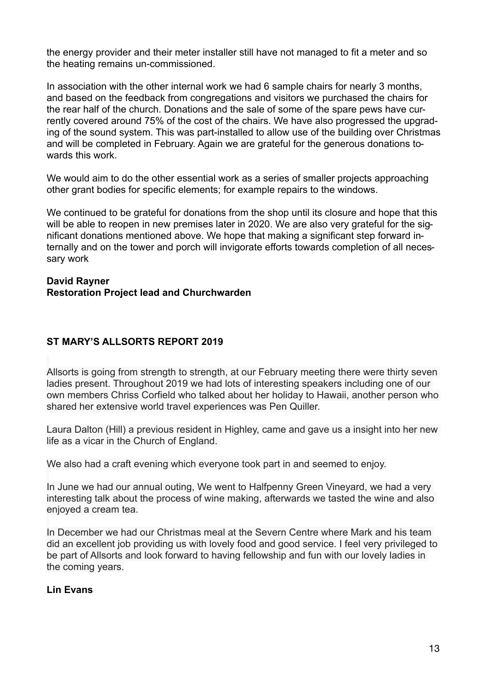the energy provider and their meter installer still have not managed to fit a meter and so the heating remains un-commissioned.

In association with the other internal work we had 6 sample chairs for nearly 3 months, and based on the feedback from congregations and visitors we purchased the chairs for the rear half of the church. Donations and the sale of some of the spare pews have currently covered around 75% of the cost of the chairs. We have also progressed the upgrading of the sound system. This was part-installed to allow use of the building over Christmas and will be completed in February. Again we are grateful for the generous donations towards this work.

We would aim to do the other essential work as a series of smaller projects approaching other grant bodies for specific elements; for example repairs to the windows.

We continued to be grateful for donations from the shop until its closure and hope that this will be able to reopen in new premises later in 2020. We are also very grateful for the significant donations mentioned above. We hope that making a significant step forward internally and on the tower and porch will invigorate efforts towards completion of all necessary work

#### **David Rayner Restoration Project lead and Churchwarden**

# **ST MARY'S ALLSORTS REPORT 2019**

Allsorts is going from strength to strength, at our February meeting there were thirty seven ladies present. Throughout 2019 we had lots of interesting speakers including one of our own members Chriss Corfield who talked about her holiday to Hawaii, another person who shared her extensive world travel experiences was Pen Quiller.

Laura Dalton (Hill) a previous resident in Highley, came and gave us a insight into her new life as a vicar in the Church of England.

We also had a craft evening which everyone took part in and seemed to enjoy.

In June we had our annual outing, We went to Halfpenny Green Vineyard, we had a very interesting talk about the process of wine making, afterwards we tasted the wine and also enjoyed a cream tea.

In December we had our Christmas meal at the Severn Centre where Mark and his team did an excellent job providing us with lovely food and good service. I feel very privileged to be part of Allsorts and look forward to having fellowship and fun with our lovely ladies in the coming years.

## **Lin Evans**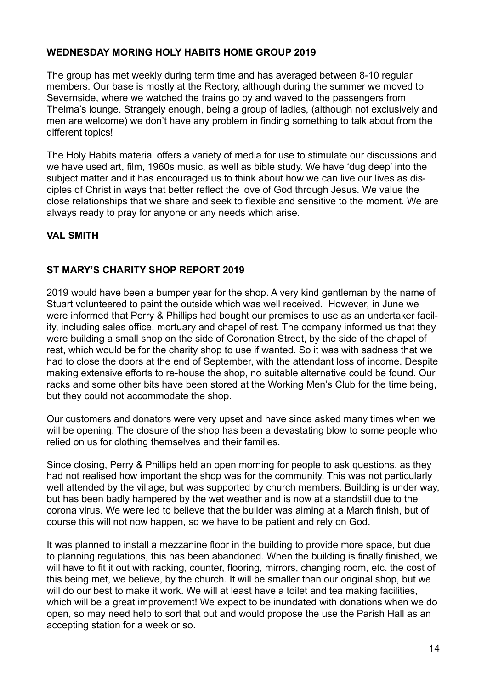## **WEDNESDAY MORING HOLY HABITS HOME GROUP 2019**

The group has met weekly during term time and has averaged between 8-10 regular members. Our base is mostly at the Rectory, although during the summer we moved to Severnside, where we watched the trains go by and waved to the passengers from Thelma's lounge. Strangely enough, being a group of ladies, (although not exclusively and men are welcome) we don't have any problem in finding something to talk about from the different topics!

The Holy Habits material offers a variety of media for use to stimulate our discussions and we have used art, film, 1960s music, as well as bible study. We have 'dug deep' into the subject matter and it has encouraged us to think about how we can live our lives as disciples of Christ in ways that better reflect the love of God through Jesus. We value the close relationships that we share and seek to flexible and sensitive to the moment. We are always ready to pray for anyone or any needs which arise.

# **VAL SMITH**

## **ST MARY'S CHARITY SHOP REPORT 2019**

2019 would have been a bumper year for the shop. A very kind gentleman by the name of Stuart volunteered to paint the outside which was well received. However, in June we were informed that Perry & Phillips had bought our premises to use as an undertaker facility, including sales office, mortuary and chapel of rest. The company informed us that they were building a small shop on the side of Coronation Street, by the side of the chapel of rest, which would be for the charity shop to use if wanted. So it was with sadness that we had to close the doors at the end of September, with the attendant loss of income. Despite making extensive efforts to re-house the shop, no suitable alternative could be found. Our racks and some other bits have been stored at the Working Men's Club for the time being, but they could not accommodate the shop.

Our customers and donators were very upset and have since asked many times when we will be opening. The closure of the shop has been a devastating blow to some people who relied on us for clothing themselves and their families.

Since closing, Perry & Phillips held an open morning for people to ask questions, as they had not realised how important the shop was for the community. This was not particularly well attended by the village, but was supported by church members. Building is under way, but has been badly hampered by the wet weather and is now at a standstill due to the corona virus. We were led to believe that the builder was aiming at a March finish, but of course this will not now happen, so we have to be patient and rely on God.

It was planned to install a mezzanine floor in the building to provide more space, but due to planning regulations, this has been abandoned. When the building is finally finished, we will have to fit it out with racking, counter, flooring, mirrors, changing room, etc. the cost of this being met, we believe, by the church. It will be smaller than our original shop, but we will do our best to make it work. We will at least have a toilet and tea making facilities, which will be a great improvement! We expect to be inundated with donations when we do open, so may need help to sort that out and would propose the use the Parish Hall as an accepting station for a week or so.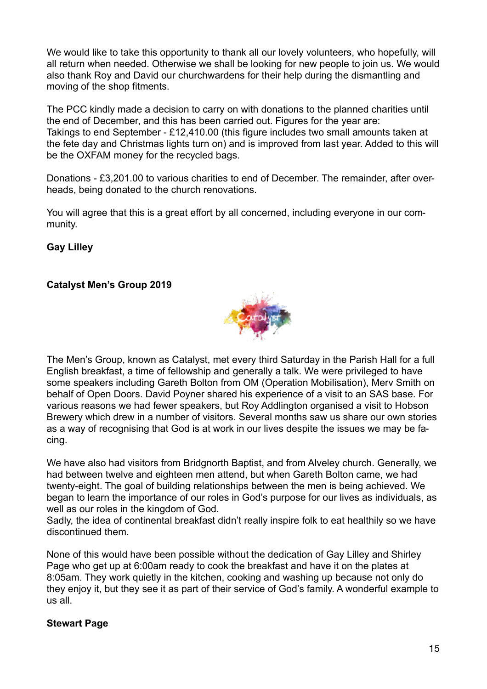We would like to take this opportunity to thank all our lovely volunteers, who hopefully, will all return when needed. Otherwise we shall be looking for new people to join us. We would also thank Roy and David our churchwardens for their help during the dismantling and moving of the shop fitments.

The PCC kindly made a decision to carry on with donations to the planned charities until the end of December, and this has been carried out. Figures for the year are: Takings to end September - £12,410.00 (this figure includes two small amounts taken at the fete day and Christmas lights turn on) and is improved from last year. Added to this will be the OXFAM money for the recycled bags.

Donations - £3,201.00 to various charities to end of December. The remainder, after overheads, being donated to the church renovations.

You will agree that this is a great effort by all concerned, including everyone in our community.

**Gay Lilley** 

# **Catalyst Men's Group 2019**



The Men's Group, known as Catalyst, met every third Saturday in the Parish Hall for a full English breakfast, a time of fellowship and generally a talk. We were privileged to have some speakers including Gareth Bolton from OM (Operation Mobilisation), Merv Smith on behalf of Open Doors. David Poyner shared his experience of a visit to an SAS base. For various reasons we had fewer speakers, but Roy Addlington organised a visit to Hobson Brewery which drew in a number of visitors. Several months saw us share our own stories as a way of recognising that God is at work in our lives despite the issues we may be facing.

We have also had visitors from Bridgnorth Baptist, and from Alveley church. Generally, we had between twelve and eighteen men attend, but when Gareth Bolton came, we had twenty-eight. The goal of building relationships between the men is being achieved. We began to learn the importance of our roles in God's purpose for our lives as individuals, as well as our roles in the kingdom of God.

Sadly, the idea of continental breakfast didn't really inspire folk to eat healthily so we have discontinued them.

None of this would have been possible without the dedication of Gay Lilley and Shirley Page who get up at 6:00am ready to cook the breakfast and have it on the plates at 8:05am. They work quietly in the kitchen, cooking and washing up because not only do they enjoy it, but they see it as part of their service of God's family. A wonderful example to us all.

## **Stewart Page**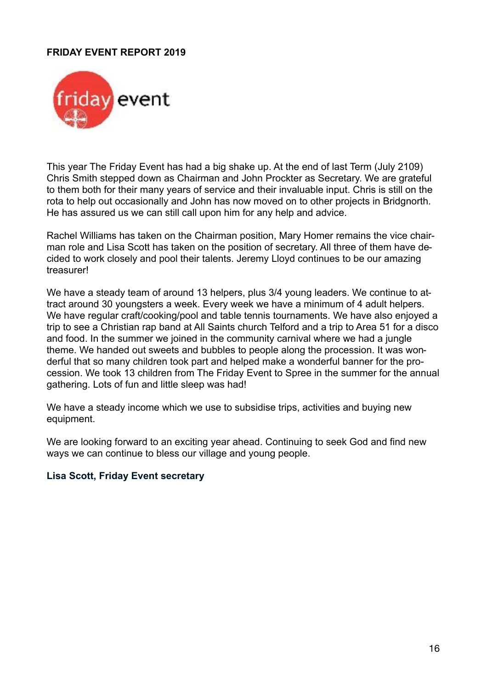#### **FRIDAY EVENT REPORT 2019**



This year The Friday Event has had a big shake up. At the end of last Term (July 2109) Chris Smith stepped down as Chairman and John Prockter as Secretary. We are grateful to them both for their many years of service and their invaluable input. Chris is still on the rota to help out occasionally and John has now moved on to other projects in Bridgnorth. He has assured us we can still call upon him for any help and advice.

Rachel Williams has taken on the Chairman position, Mary Homer remains the vice chairman role and Lisa Scott has taken on the position of secretary. All three of them have decided to work closely and pool their talents. Jeremy Lloyd continues to be our amazing treasurer!

We have a steady team of around 13 helpers, plus 3/4 young leaders. We continue to attract around 30 youngsters a week. Every week we have a minimum of 4 adult helpers. We have regular craft/cooking/pool and table tennis tournaments. We have also enjoyed a trip to see a Christian rap band at All Saints church Telford and a trip to Area 51 for a disco and food. In the summer we joined in the community carnival where we had a jungle theme. We handed out sweets and bubbles to people along the procession. It was wonderful that so many children took part and helped make a wonderful banner for the procession. We took 13 children from The Friday Event to Spree in the summer for the annual gathering. Lots of fun and little sleep was had!

We have a steady income which we use to subsidise trips, activities and buying new equipment.

We are looking forward to an exciting year ahead. Continuing to seek God and find new ways we can continue to bless our village and young people.

#### **Lisa Scott, Friday Event secretary**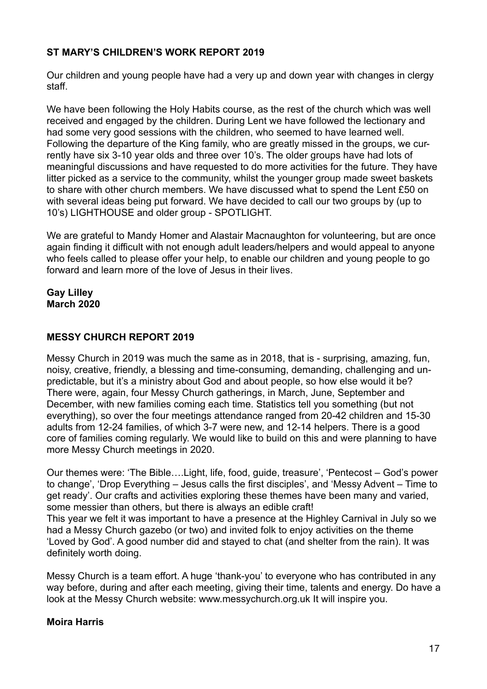# **ST MARY'S CHILDREN'S WORK REPORT 2019**

Our children and young people have had a very up and down year with changes in clergy staff.

We have been following the Holy Habits course, as the rest of the church which was well received and engaged by the children. During Lent we have followed the lectionary and had some very good sessions with the children, who seemed to have learned well. Following the departure of the King family, who are greatly missed in the groups, we currently have six 3-10 year olds and three over 10's. The older groups have had lots of meaningful discussions and have requested to do more activities for the future. They have litter picked as a service to the community, whilst the younger group made sweet baskets to share with other church members. We have discussed what to spend the Lent £50 on with several ideas being put forward. We have decided to call our two groups by (up to 10's) LIGHTHOUSE and older group - SPOTLIGHT.

We are grateful to Mandy Homer and Alastair Macnaughton for volunteering, but are once again finding it difficult with not enough adult leaders/helpers and would appeal to anyone who feels called to please offer your help, to enable our children and young people to go forward and learn more of the love of Jesus in their lives.

**Gay Lilley March 2020** 

# **MESSY CHURCH REPORT 2019**

Messy Church in 2019 was much the same as in 2018, that is - surprising, amazing, fun, noisy, creative, friendly, a blessing and time-consuming, demanding, challenging and unpredictable, but it's a ministry about God and about people, so how else would it be? There were, again, four Messy Church gatherings, in March, June, September and December, with new families coming each time. Statistics tell you something (but not everything), so over the four meetings attendance ranged from 20-42 children and 15-30 adults from 12-24 families, of which 3-7 were new, and 12-14 helpers. There is a good core of families coming regularly. We would like to build on this and were planning to have more Messy Church meetings in 2020.

Our themes were: 'The Bible….Light, life, food, guide, treasure', 'Pentecost – God's power to change', 'Drop Everything – Jesus calls the first disciples', and 'Messy Advent – Time to get ready'. Our crafts and activities exploring these themes have been many and varied, some messier than others, but there is always an edible craft!

This year we felt it was important to have a presence at the Highley Carnival in July so we had a Messy Church gazebo (or two) and invited folk to enjoy activities on the theme 'Loved by God'. A good number did and stayed to chat (and shelter from the rain). It was definitely worth doing.

Messy Church is a team effort. A huge 'thank-you' to everyone who has contributed in any way before, during and after each meeting, giving their time, talents and energy. Do have a look at the Messy Church website: www.messychurch.org.uk It will inspire you.

## **Moira Harris**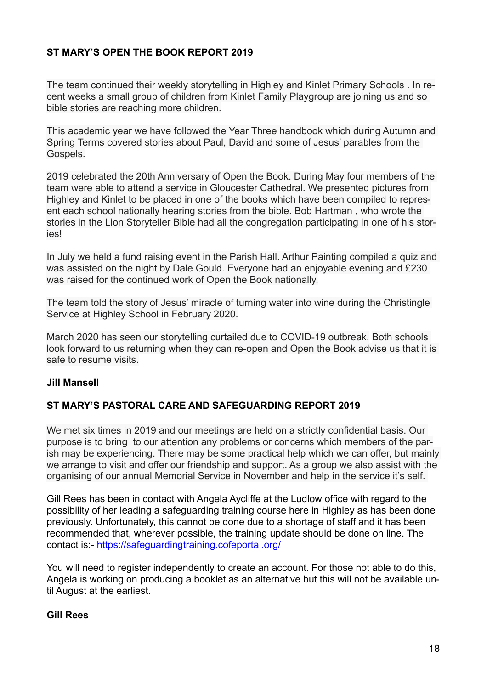# **ST MARY'S OPEN THE BOOK REPORT 2019**

The team continued their weekly storytelling in Highley and Kinlet Primary Schools . In recent weeks a small group of children from Kinlet Family Playgroup are joining us and so bible stories are reaching more children.

This academic year we have followed the Year Three handbook which during Autumn and Spring Terms covered stories about Paul, David and some of Jesus' parables from the Gospels.

2019 celebrated the 20th Anniversary of Open the Book. During May four members of the team were able to attend a service in Gloucester Cathedral. We presented pictures from Highley and Kinlet to be placed in one of the books which have been compiled to represent each school nationally hearing stories from the bible. Bob Hartman , who wrote the stories in the Lion Storyteller Bible had all the congregation participating in one of his stories!

In July we held a fund raising event in the Parish Hall. Arthur Painting compiled a quiz and was assisted on the night by Dale Gould. Everyone had an enjoyable evening and £230 was raised for the continued work of Open the Book nationally.

The team told the story of Jesus' miracle of turning water into wine during the Christingle Service at Highley School in February 2020.

March 2020 has seen our storytelling curtailed due to COVID-19 outbreak. Both schools look forward to us returning when they can re-open and Open the Book advise us that it is safe to resume visits.

## **Jill Mansell**

## **ST MARY'S PASTORAL CARE AND SAFEGUARDING REPORT 2019**

We met six times in 2019 and our meetings are held on a strictly confidential basis. Our purpose is to bring to our attention any problems or concerns which members of the parish may be experiencing. There may be some practical help which we can offer, but mainly we arrange to visit and offer our friendship and support. As a group we also assist with the organising of our annual Memorial Service in November and help in the service it's self.

Gill Rees has been in contact with Angela Aycliffe at the Ludlow office with regard to the possibility of her leading a safeguarding training course here in Highley as has been done previously. Unfortunately, this cannot be done due to a shortage of staff and it has been recommended that, wherever possible, the training update should be done on line. The contact is:-<https://safeguardingtraining.cofeportal.org/>

You will need to register independently to create an account. For those not able to do this, Angela is working on producing a booklet as an alternative but this will not be available until August at the earliest.

#### **Gill Rees**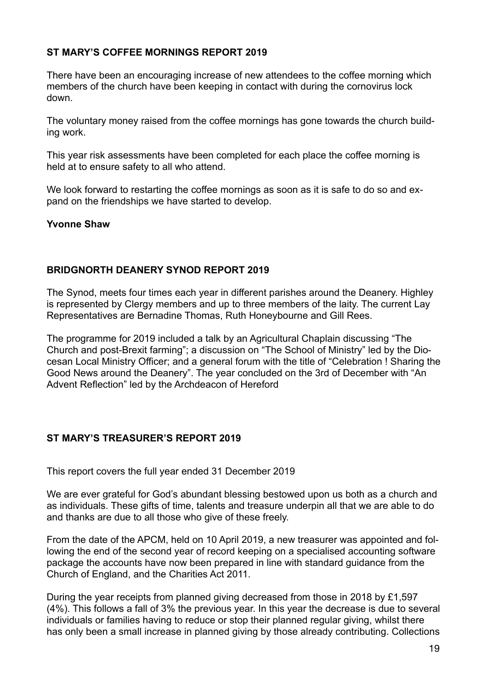## **ST MARY'S COFFEE MORNINGS REPORT 2019**

There have been an encouraging increase of new attendees to the coffee morning which members of the church have been keeping in contact with during the cornovirus lock down.

The voluntary money raised from the coffee mornings has gone towards the church building work.

This year risk assessments have been completed for each place the coffee morning is held at to ensure safety to all who attend.

We look forward to restarting the coffee mornings as soon as it is safe to do so and expand on the friendships we have started to develop.

#### **Yvonne Shaw**

#### **BRIDGNORTH DEANERY SYNOD REPORT 2019**

The Synod, meets four times each year in different parishes around the Deanery. Highley is represented by Clergy members and up to three members of the laity. The current Lay Representatives are Bernadine Thomas, Ruth Honeybourne and Gill Rees.

The programme for 2019 included a talk by an Agricultural Chaplain discussing "The Church and post-Brexit farming"; a discussion on "The School of Ministry" led by the Diocesan Local Ministry Officer; and a general forum with the title of "Celebration ! Sharing the Good News around the Deanery". The year concluded on the 3rd of December with "An Advent Reflection" led by the Archdeacon of Hereford

#### **ST MARY'S TREASURER'S REPORT 2019**

This report covers the full year ended 31 December 2019

We are ever grateful for God's abundant blessing bestowed upon us both as a church and as individuals. These gifts of time, talents and treasure underpin all that we are able to do and thanks are due to all those who give of these freely.

From the date of the APCM, held on 10 April 2019, a new treasurer was appointed and following the end of the second year of record keeping on a specialised accounting software package the accounts have now been prepared in line with standard guidance from the Church of England, and the Charities Act 2011.

During the year receipts from planned giving decreased from those in 2018 by £1,597 (4%). This follows a fall of 3% the previous year. In this year the decrease is due to several individuals or families having to reduce or stop their planned regular giving, whilst there has only been a small increase in planned giving by those already contributing. Collections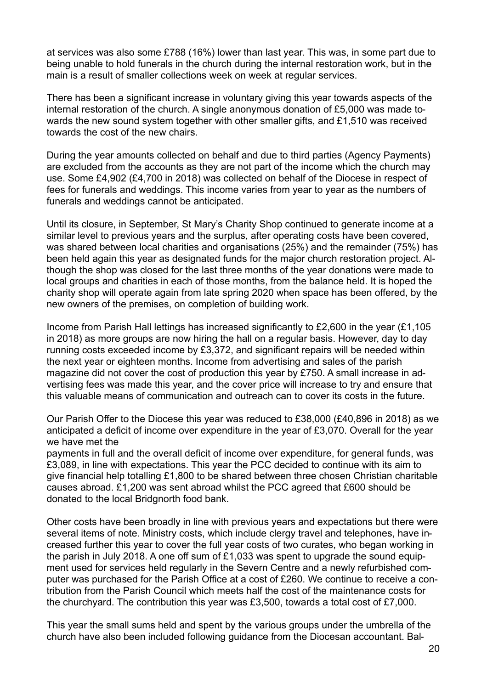at services was also some £788 (16%) lower than last year. This was, in some part due to being unable to hold funerals in the church during the internal restoration work, but in the main is a result of smaller collections week on week at regular services.

There has been a significant increase in voluntary giving this year towards aspects of the internal restoration of the church. A single anonymous donation of £5,000 was made towards the new sound system together with other smaller gifts, and £1,510 was received towards the cost of the new chairs.

During the year amounts collected on behalf and due to third parties (Agency Payments) are excluded from the accounts as they are not part of the income which the church may use. Some £4,902 (£4,700 in 2018) was collected on behalf of the Diocese in respect of fees for funerals and weddings. This income varies from year to year as the numbers of funerals and weddings cannot be anticipated.

Until its closure, in September, St Mary's Charity Shop continued to generate income at a similar level to previous years and the surplus, after operating costs have been covered, was shared between local charities and organisations (25%) and the remainder (75%) has been held again this year as designated funds for the major church restoration project. Although the shop was closed for the last three months of the year donations were made to local groups and charities in each of those months, from the balance held. It is hoped the charity shop will operate again from late spring 2020 when space has been offered, by the new owners of the premises, on completion of building work.

Income from Parish Hall lettings has increased significantly to £2,600 in the year (£1,105 in 2018) as more groups are now hiring the hall on a regular basis. However, day to day running costs exceeded income by £3,372, and significant repairs will be needed within the next year or eighteen months. Income from advertising and sales of the parish magazine did not cover the cost of production this year by £750. A small increase in advertising fees was made this year, and the cover price will increase to try and ensure that this valuable means of communication and outreach can to cover its costs in the future.

Our Parish Offer to the Diocese this year was reduced to £38,000 (£40,896 in 2018) as we anticipated a deficit of income over expenditure in the year of £3,070. Overall for the year we have met the

payments in full and the overall deficit of income over expenditure, for general funds, was £3,089, in line with expectations. This year the PCC decided to continue with its aim to give financial help totalling £1,800 to be shared between three chosen Christian charitable causes abroad. £1,200 was sent abroad whilst the PCC agreed that £600 should be donated to the local Bridgnorth food bank.

Other costs have been broadly in line with previous years and expectations but there were several items of note. Ministry costs, which include clergy travel and telephones, have increased further this year to cover the full year costs of two curates, who began working in the parish in July 2018. A one off sum of £1,033 was spent to upgrade the sound equipment used for services held regularly in the Severn Centre and a newly refurbished computer was purchased for the Parish Office at a cost of £260. We continue to receive a contribution from the Parish Council which meets half the cost of the maintenance costs for the churchyard. The contribution this year was £3,500, towards a total cost of £7,000.

This year the small sums held and spent by the various groups under the umbrella of the church have also been included following guidance from the Diocesan accountant. Bal